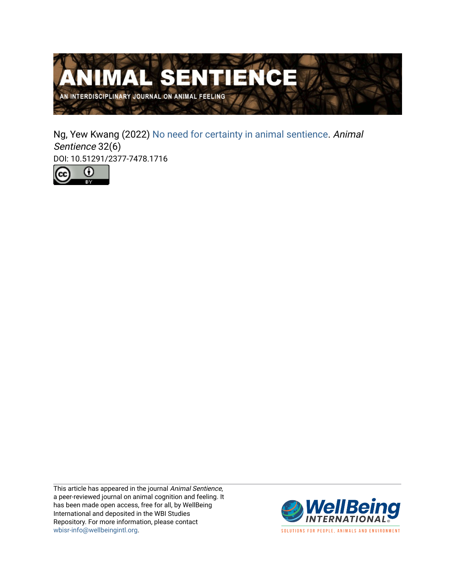

Ng, Yew Kwang (2022) [No need for certainty in animal sentience.](https://www.wellbeingintlstudiesrepository.org/animsent/vol7/iss32/6) Animal Sentience 32(6) DOI: 10.51291/2377-7478.1716



This article has appeared in the journal Animal Sentience, a peer-reviewed journal on animal cognition and feeling. It has been made open access, free for all, by WellBeing International and deposited in the WBI Studies Repository. For more information, please contact [wbisr-info@wellbeingintl.org](mailto:wbisr-info@wellbeingintl.org).



SOLUTIONS FOR PEOPLE, ANIMALS AND ENVIRONMENT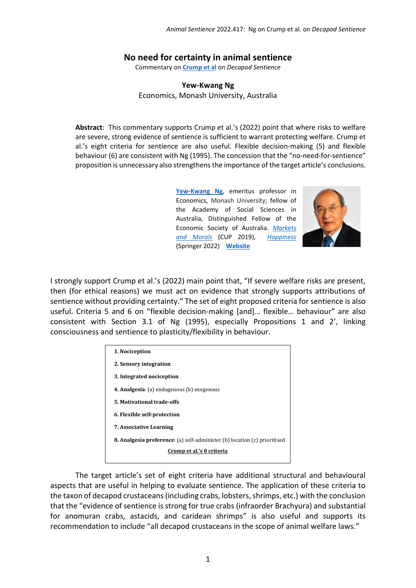## **No need for certainty in animal sentience**

Commentary on **[Crump et al](https://www.wellbeingintlstudiesrepository.org/animsent/vol7/iss32/1)** on *Decapod Sentience*

## **Yew-Kwang Ng** Economics, Monash University, Australia

**Abstract**: This commentary supports Crump et al.'s (2022) point that where risks to welfare are severe, strong evidence of sentience is sufficient to warrant protecting welfare. Crump et al.'s eight criteria for sentience are also useful. Flexible decision-making (5) and flexible behaviour (6) are consistent with Ng (1995). The concession that the "no-need-for-sentience" proposition is unnecessary also strengthens the importance of the target article's conclusions.

> **[Yew-Kwang](http://ykng@fudan.edu.cn) Ng**, emeritus professor in Economics, Monash University; fellow of the Academy of Social Sciences in Australia, Distinguished Fellow of the Economic Society of Australia. *[Markets](https://doi.org/10.1017/9781108163828)  [and Morals](https://doi.org/10.1017/9781108163828)* (CUP 2019), *[Happiness](https://link.springer.com/book/10.1007/978-981-33-4972-8)* (Springer 2022) **[Website](https://users.monash.edu/~mchou/)**



I strongly support Crump et al.'s (2022) main point that, "If severe welfare risks are present, then (for ethical reasons) we must act on evidence that strongly supports attributions of sentience without providing certainty." The set of eight proposed criteria for sentience is also useful. Criteria 5 and 6 on "flexible decision-making [and]… flexible… behaviour" are also consistent with Section 3.1 of Ng (1995), especially Propositions 1 and 2', linking consciousness and sentience to plasticity/flexibility in behaviour.

| 1. Nociception                                                                   |
|----------------------------------------------------------------------------------|
| 2. Sensory integration                                                           |
| 3. Integrated nociception                                                        |
| 4. Analgesia: (a) endogenous (b) exogenous                                       |
| 5. Motivational trade-offs                                                       |
| 6. Flexible self-protection                                                      |
| <b>7. Associative Learning</b>                                                   |
| <b>8. Analgesia preference:</b> (a) self-administer (b) location (c) prioritised |
| Crump et al.'s 8 criteria                                                        |
|                                                                                  |

The target article's set of eight criteria have additional structural and behavioural aspects that are useful in helping to evaluate sentience. The application of these criteria to the taxon of decapod crustaceans (including crabs, lobsters, shrimps, etc.) with the conclusion that the "evidence of sentience is strong for true crabs (infraorder Brachyura) and substantial for anomuran crabs, astacids, and caridean shrimps" is also useful and supports its recommendation to include "all decapod crustaceans in the scope of animal welfare laws."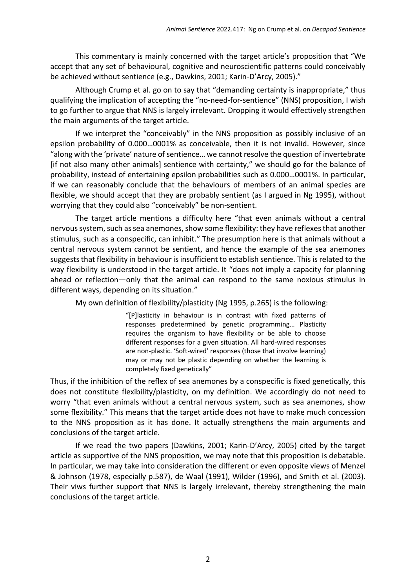This commentary is mainly concerned with the target article's proposition that "We accept that any set of behavioural, cognitive and neuroscientific patterns could conceivably be achieved without sentience (e.g., Dawkins, 2001; Karin-D'Arcy, 2005)."

Although Crump et al. go on to say that "demanding certainty is inappropriate," thus qualifying the implication of accepting the "no-need-for-sentience" (NNS) proposition, I wish to go further to argue that NNS is largely irrelevant. Dropping it would effectively strengthen the main arguments of the target article.

If we interpret the "conceivably" in the NNS proposition as possibly inclusive of an epsilon probability of 0.000…0001% as conceivable, then it is not invalid. However, since "along with the 'private' nature of sentience… we cannot resolve the question of invertebrate [if not also many other animals] sentience with certainty," we should go for the balance of probability, instead of entertaining epsilon probabilities such as 0.000…0001%. In particular, if we can reasonably conclude that the behaviours of members of an animal species are flexible, we should accept that they are probably sentient (as I argued in Ng 1995), without worrying that they could also "conceivably" be non-sentient.

The target article mentions a difficulty here "that even animals without a central nervous system, such as sea anemones, show some flexibility: they have reflexes that another stimulus, such as a conspecific, can inhibit." The presumption here is that animals without a central nervous system cannot be sentient, and hence the example of the sea anemones suggests that flexibility in behaviour is insufficient to establish sentience. This is related to the way flexibility is understood in the target article. It "does not imply a capacity for planning ahead or reflection—only that the animal can respond to the same noxious stimulus in different ways, depending on its situation."

My own definition of flexibility/plasticity (Ng 1995, p.265) is the following:

"[P]lasticity in behaviour is in contrast with fixed patterns of responses predetermined by genetic programming… Plasticity requires the organism to have flexibility or be able to choose different responses for a given situation. All hard-wired responses are non-plastic. 'Soft-wired' responses (those that involve learning) may or may not be plastic depending on whether the learning is completely fixed genetically"

Thus, if the inhibition of the reflex of sea anemones by a conspecific is fixed genetically, this does not constitute flexibility/plasticity, on my definition. We accordingly do not need to worry "that even animals without a central nervous system, such as sea anemones, show some flexibility." This means that the target article does not have to make much concession to the NNS proposition as it has done. It actually strengthens the main arguments and conclusions of the target article.

If we read the two papers (Dawkins, 2001; Karin-D'Arcy, 2005) cited by the target article as supportive of the NNS proposition, we may note that this proposition is debatable. In particular, we may take into consideration the different or even opposite views of Menzel & Johnson (1978, especially p.587), de Waal (1991), Wilder (1996), and Smith et al. (2003). Their viws further support that NNS is largely irrelevant, thereby strengthening the main conclusions of the target article.